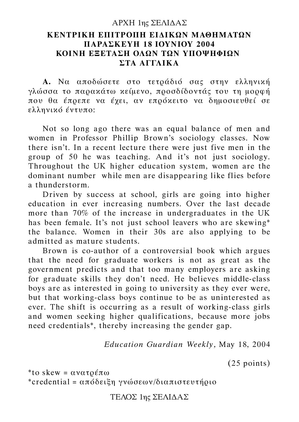#### AΡΧΗ 1ης ΣΕΛΙ∆ΑΣ

### **ΚΕΝΤΡΙΚΗ ΕΠΙΤΡΟΠΗ ΕΙ∆ΙΚΩΝ ΜΑΘΗΜΑΤΩΝ ΠΑΡΑΣΚΕΥΗ 18 ΙΟΥΝΙΟΥ 2004 ΚΟΙΝΗ ΕΞΕΤΑΣΗ ΟΛΩΝ ΤΩΝ ΥΠΟΨΗΦΙΩΝ ΣΤΑ ΑΓΓΛΙΚΑ**

**Α.** Να αποδώσετε στο τετράδιό σας στην ελληνική γλώσσα το παρακάτω κείµενο, προσδίδοντάς του τη µορφή που θα έπρεπε να έχει, αν επρόκειτο να δηµοσιευθεί σε ελληνικό έντυπο:

Not so long ago there was an equal balance of men and women in Professor Phillip Brown's sociology classes. Now there isn't. In a recent lecture there were just five men in the group of 50 he was teaching. And it's not just sociology. Throughout the UK higher education system, women are the dominant number while men are disappearing like flies before a thunderstorm.

Driven by success at school, girls are going into higher education in ever increasing numbers. Over the last decade more than 70% of the increase in undergraduates in the UK has been female. It's not just school leavers who are skewing\* the balance. Women in their 30s are also applying to be admitted as mature students.

Brown is co-author of a controversial book which argues that the need for graduate workers is not as great as the government predicts and that too many employers are asking for graduate skills they don't need. He believes middle-class boys are as interested in going to university as they ever were, but that working-class boys continue to be as uninterested as ever. The shift is occurring as a result of working-class girls and women seeking higher qualifications, because more jobs need credentials\*, thereby increasing the gender gap.

*Education Guardian Weekly,* May 18, 2004

(25 points)

\*to skew =  $\alpha$ νατρέπω \*credential = απόδειξη γνώσεων/διαπιστευτήριο

ΤΕΛΟΣ 1ης ΣΕΛΙ∆ΑΣ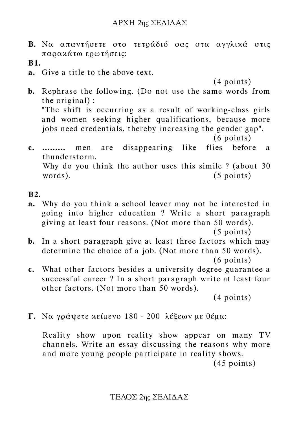- **Β.** Να απαντήσετε στο τετράδιό σας στα αγγλικά στις παρακάτω ερωτήσεις:
- **B1.**
- **a.** Give a title to the above text.

(4 points)

- **b.** Rephrase the following. (Do not use the same words from the original) : "The shift is occurring as a result of working-class girls and women seeking higher qualifications, because more jobs need credentials, thereby increasing the gender gap". (6 points)
- **c. .........** men are disappearing like flies before a thunderstorm. Why do you think the author uses this simile ? (about 30 words). (5 points)

#### **B2.**

**a.** Why do you think a school leaver may not be interested in going into higher education ? Write a short paragraph giving at least four reasons. (Not more than 50 words).

(5 points)

- **b.** In a short paragraph give at least three factors which may determine the choice of a job. (Not more than 50 words). (6 points)
- **c.** What other factors besides a university degree guarantee a successful career ? In a short paragraph write at least four other factors. (Not more than 50 words).

(4 points)

**Γ.** Να γράψετε κείµενο 180 - 200 λέξεων µε θέµα:

Reality show upon reality show appear on many TV channels. Write an essay discussing the reasons why more and more young people participate in reality shows.

(45 points)